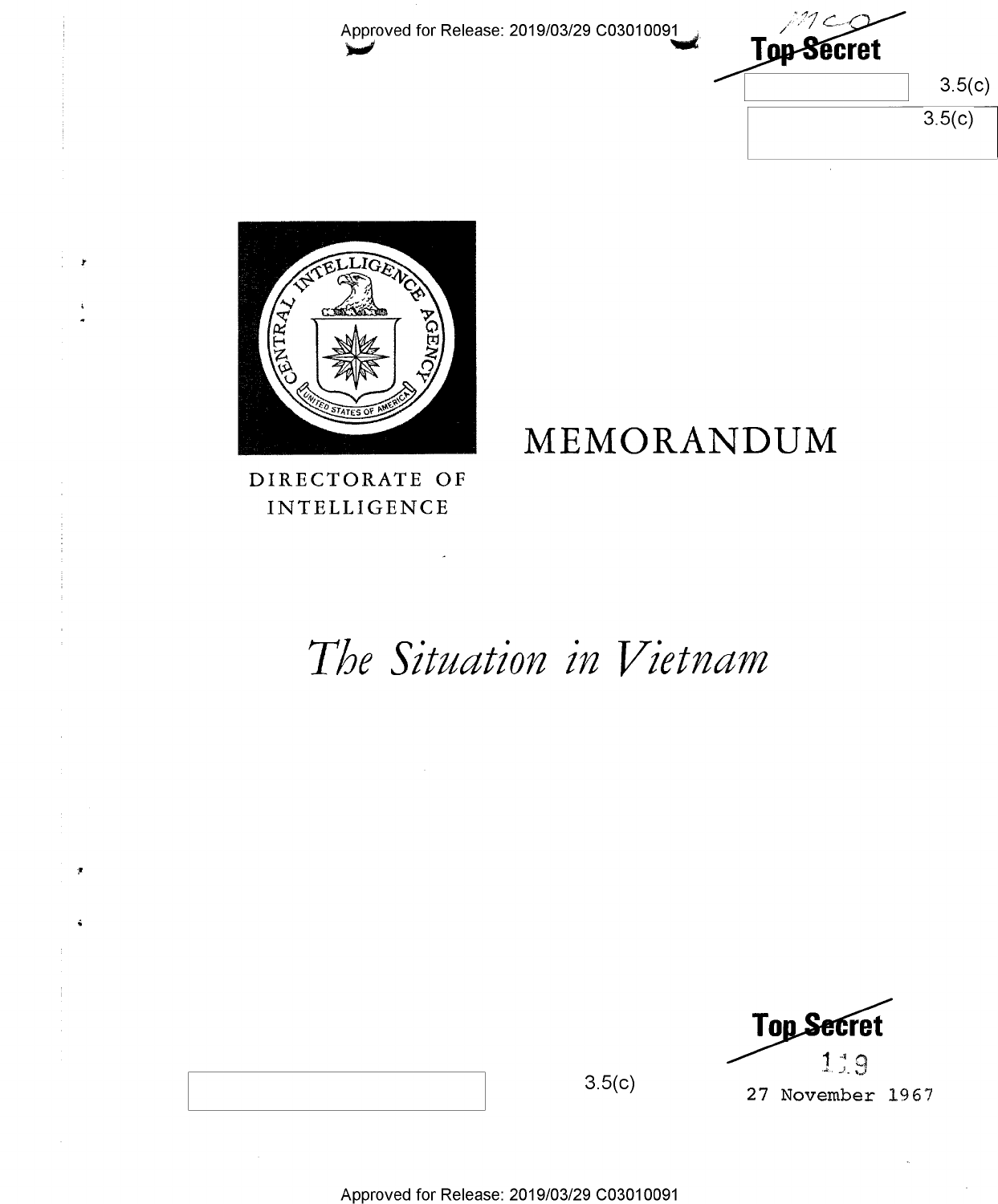Approved for Release: 2019/03/29 C03010091

Top-Secret  $3.5(c)$  $3.5(c)$ 



DIRECTORATE OF **INTELLIGENCE** 

# MEMORANDUM

# The Situation in Vietnam



 $3.5(c)$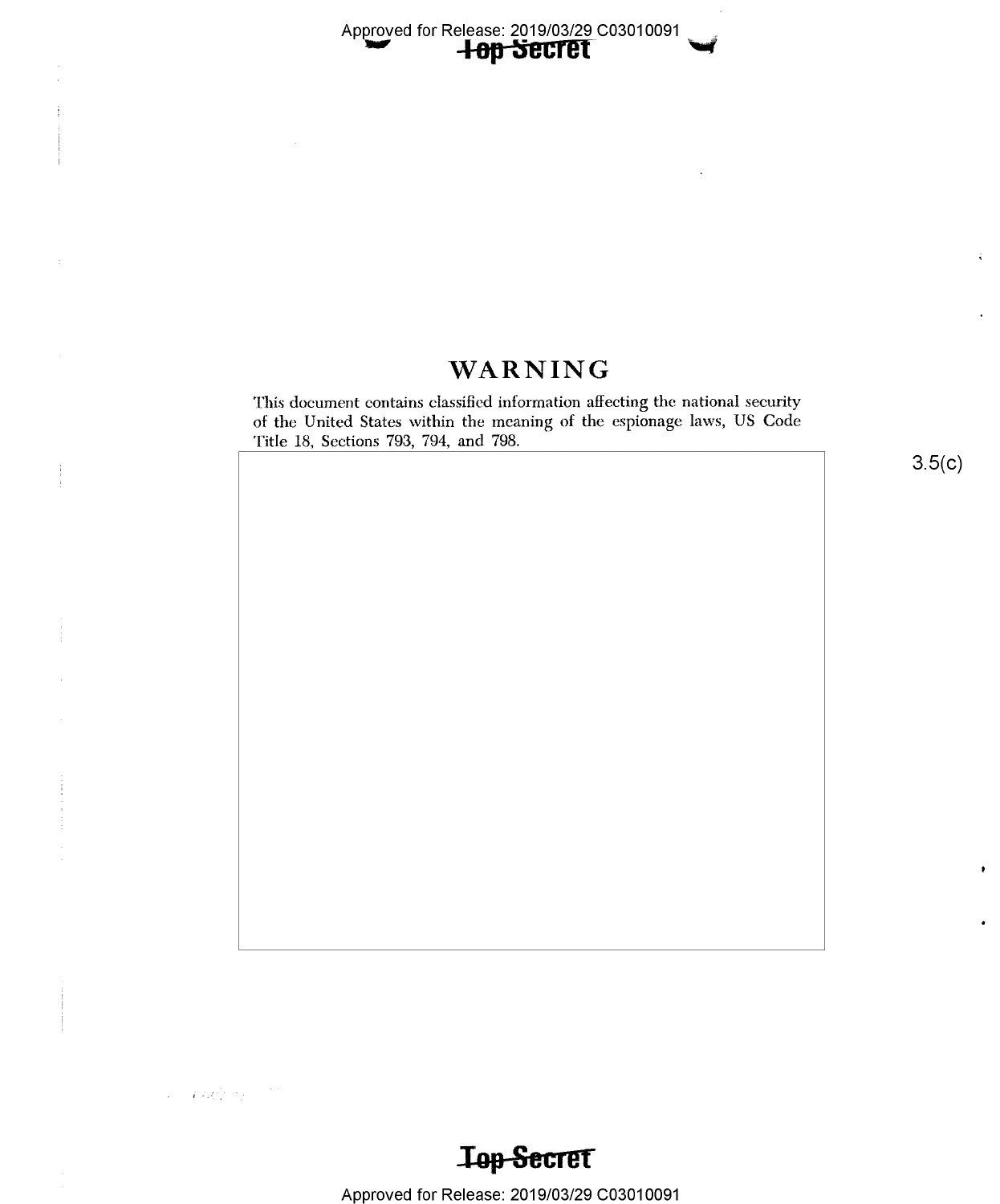Approved for Release: 2019/03/29 C03010091<br>**-I-op-Secret** 

### WARNING

This document contains classified information afiecting the national security of the United States within the meaning of the espionage laws, US Code Title 18, Sections 793, 794, and 798.

 $3.5(c)$ 

**Top Secret** 

Approved for Release: 2019/03/29 C03010091

 $\label{eq:1} \mathcal{L} = \int dQ \, \mathcal{L}^{\text{d}}_{\text{d}} \left( \mathcal{L}^{\text{d}}_{\text{d}} \left( \mathcal{L} \right) \right) \, \mathcal{L}^{\text{d}}_{\text{d}} \left( \mathcal{L}^{\text{d}}_{\text{d}} \right) \, \mathcal{L}^{\text{d}}_{\text{d}}$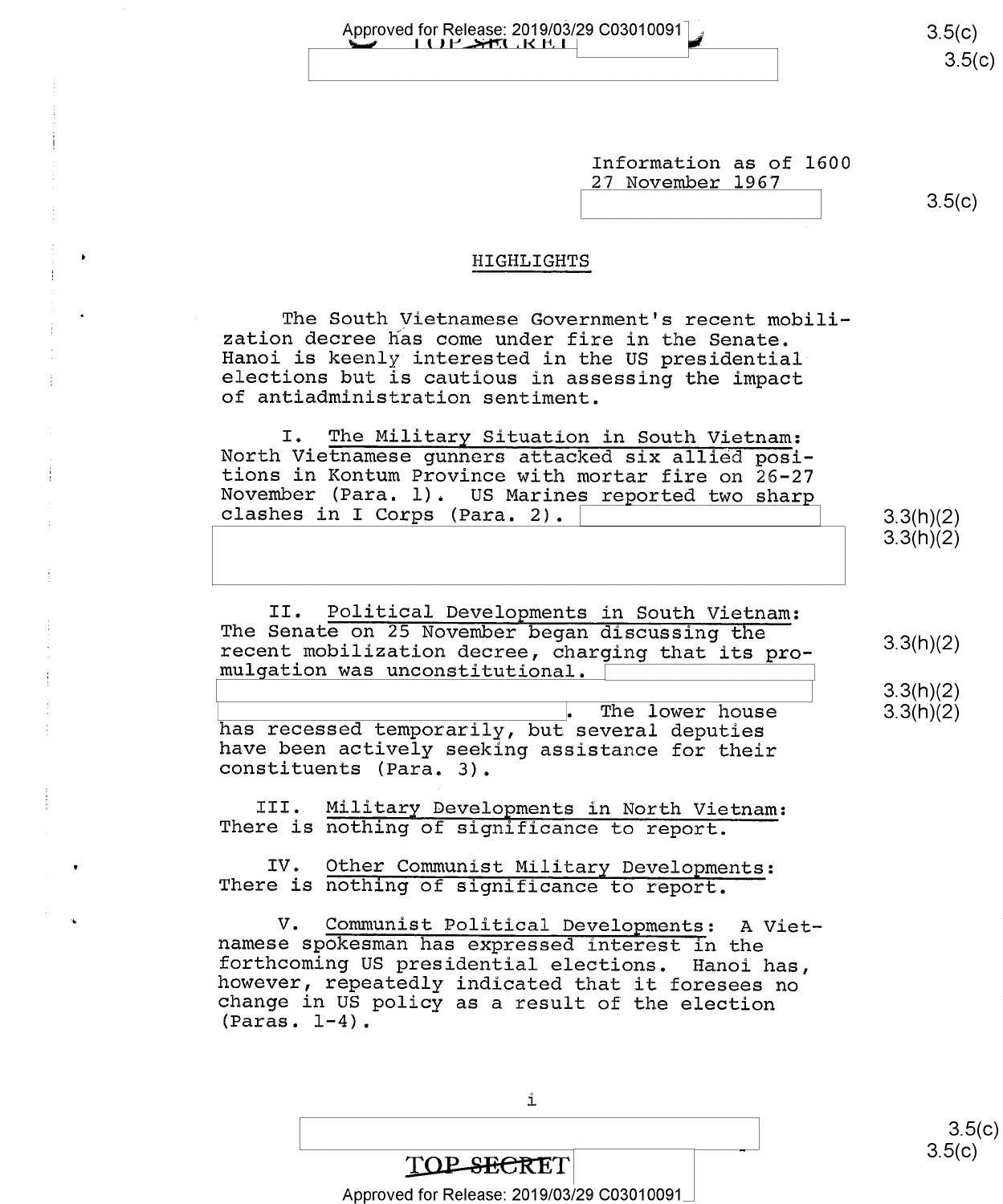Approved for Release: 2019/03/29 C03010091 2010 2020 2030 3.5(C)

Information as of 1600 27 November 1967

 $3.5(c)$ 

9.9(11)(2)<br>2.2/h\/2\  $(11)(2)$ 

 $3.3(h)(2)$ <br> $3.3(h)(2)$ 

#### HIGHLIGHTS

The South Vietnamese Government's recent mobili-<br>zation decree has come under fire in the Senate.<br>Hanoi is keenly interested in the US presidential<br>elections but is cautious in assessing the impact<br>of antiadministration se

I. The Military Situation in South Vietnam:<br>North Vietnamese gunners attacked six allied posi-<br>tions in Kontum Province with mortar fire on 26-27<br>November (Para. l). US Marines reported two sharp  $\texttt{clashes in I Corps (Para. 2).}$ 

II. Political Developments in South Vietnam:<br>The Senate on 25 November began discussing the The Senate on 25 November began discussing the recent mobilization decree, charging that its pro-  $3.3(h)(2)$  mulgation was unconstitutional.

The lower house has recessed temporarily, but several deputies<br>have been actively seeking assistance for their<br>constituents (Para. 3).

III. Military Developments in North Vietnam:<br>There is nothing of significance to report.

 $\mathbf{IV}_{\bullet}$ IV. Other Communist Military Developments:<br>There is nothing of significance to report.

.  $V_{\bullet}$ V. Communist Political Developments: A Viet-<br>namese spokesman has expressed interest in the<br>forthcoming US presidential elections. Hanoi has,<br>however, repeatedly indicated that it foresees no<br>change in US policy as a resul

i

## TOP SECRET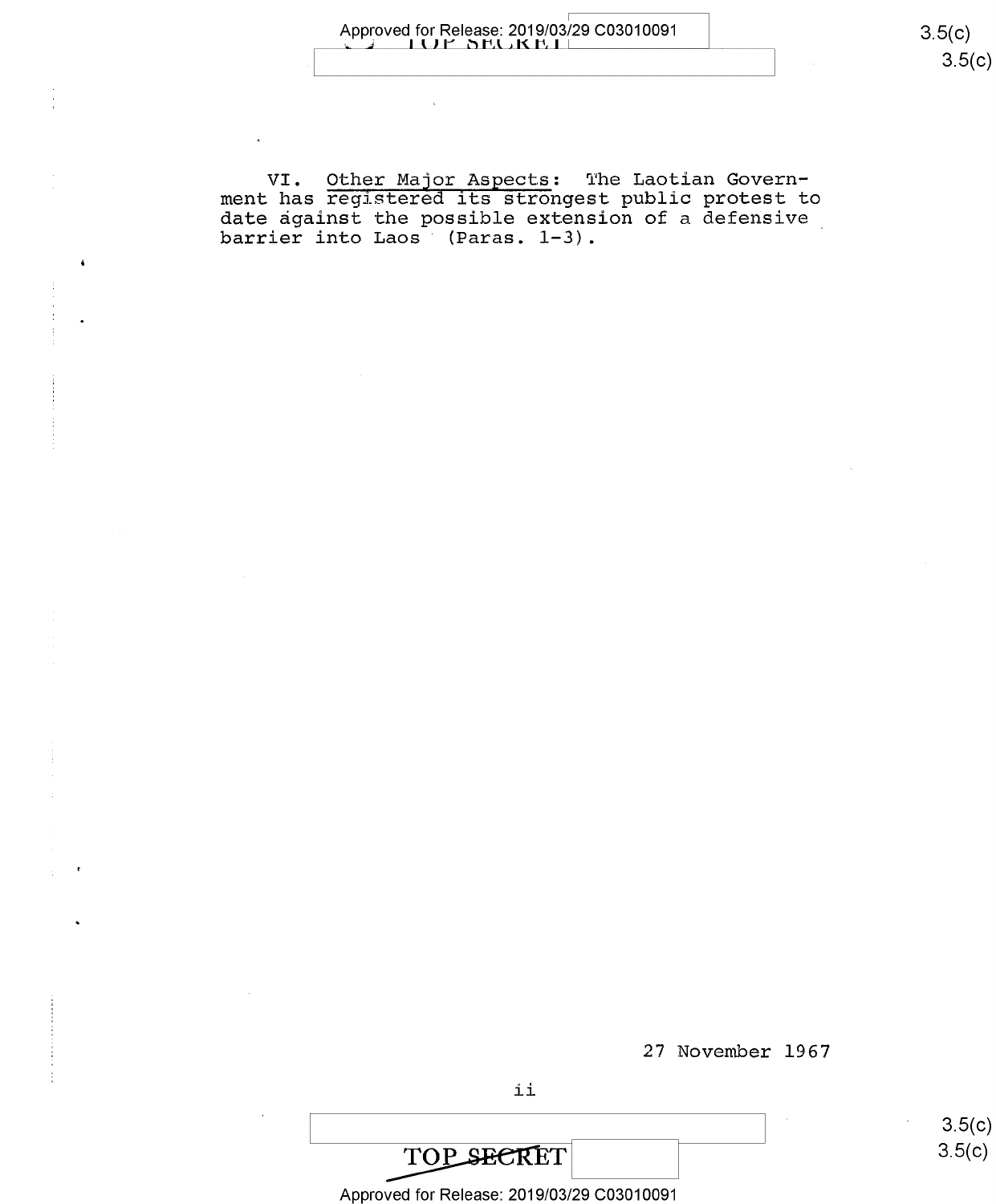VI. Other Maigr Aspects: The Laotian Government has registered its strongest public protest to date against the possible extension of a defensive barrier into Laos (Paras. 1-3).

27 November 1967



Approved for Release: 2019/03/29 C03010091

<u> ၁.၁(</u>င  $3.5(c)$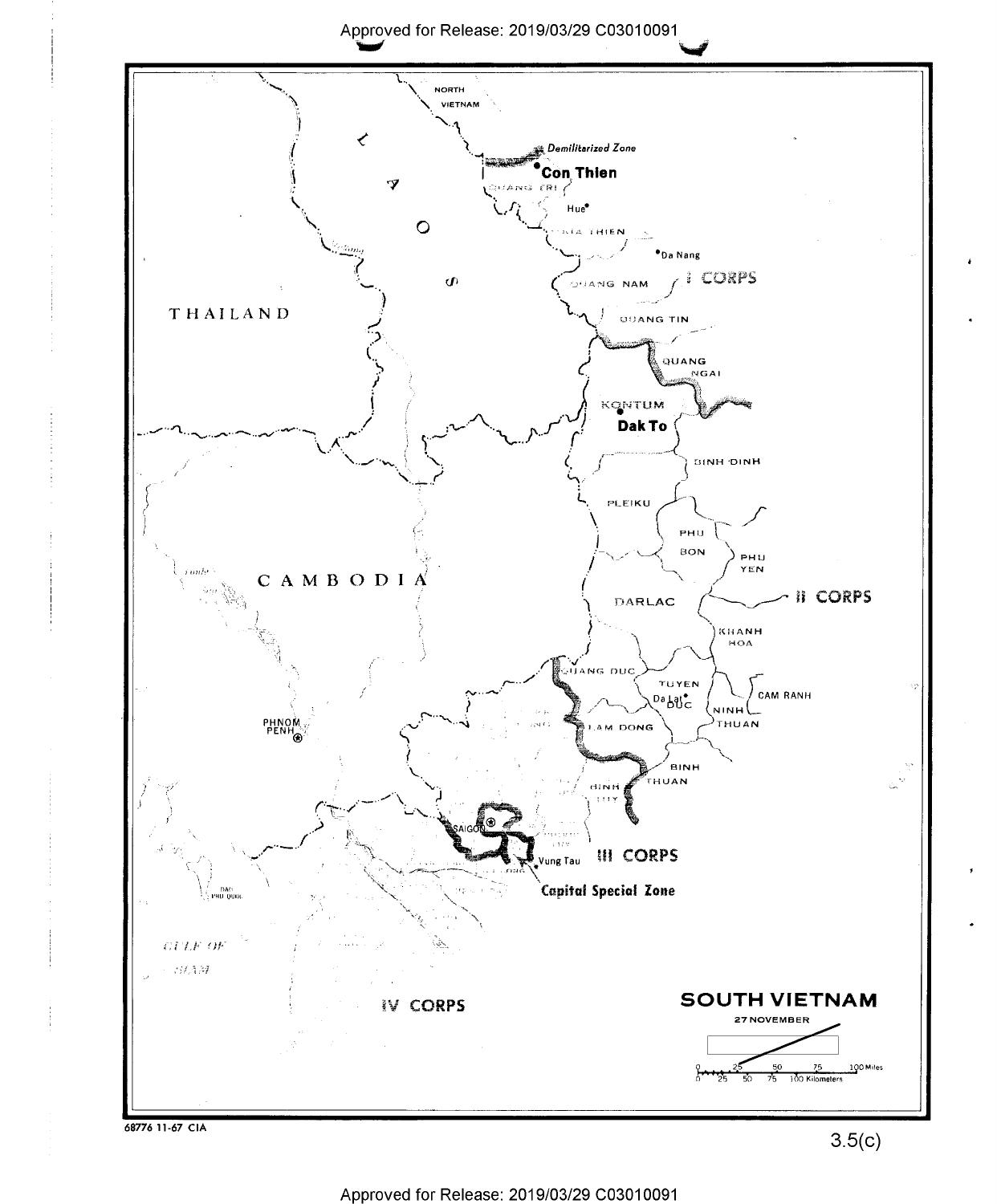Approved for Release: 2019/03/29 C03010091

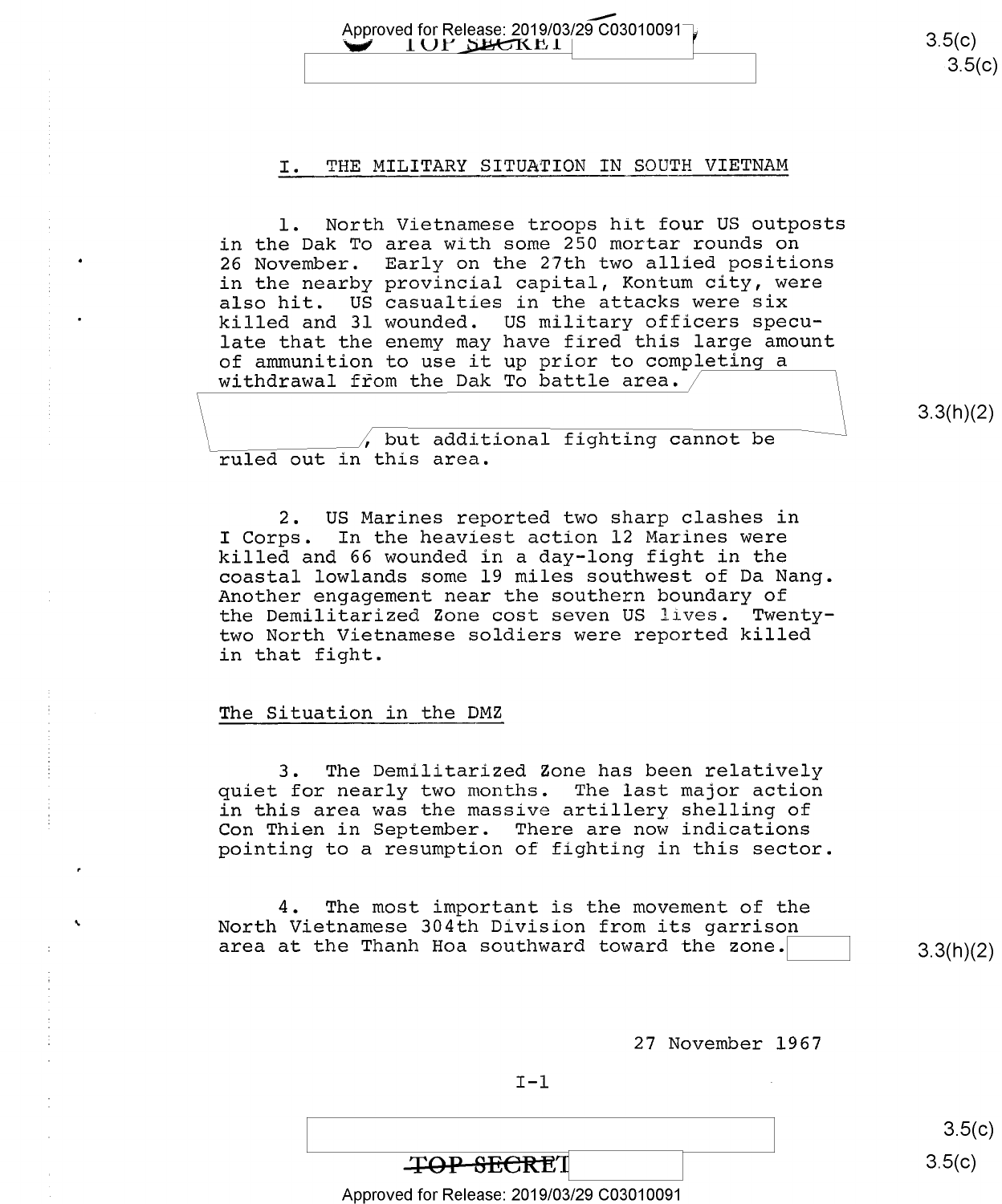Approved for Release: 2019/03/29 C03010091  $\overline{)}$  (3.5(c) 3.5(c)  $3.5(c)$ 

#### I. THE MILITARY SITUATION IN SOUTH VIETNAM

I OF SHEKEI

t

l. North Vietnamese troops hit four US outposts in the Dak To area with some 250 mortar rounds on 26 November. Early on the 27th two allied positions in the nearby provincial capital, Kontum city, were also hit. US casualties in the attacks were six killed and 31 wounded. US military officers speculate that the enemy may have fired this large amount of ammunition to use it up prior to completing a withdrawal from the Dak To battle area.

3.3(h)(2)

 $\lambda$  but additional fighting cannot be ruled out in this area.

2. US Marines reported two sharp clashes in<br>I Corps. In the heaviest action 12 Marines were In the heaviest action 12 Marines were killed and 66 wounded in a day-long fight in the coastal lowlands some 19 miles southwest of Da Nang. Another engagement near the southern boundary of the Demilitarized Zone cost seven US lives. Twentytwo North Vietnamese soldiers were reported killed in that fight.

#### The Situation in the DMZ

3. The Demilitarized Zone has been relatively quiet for nearly two months. The last major action in this area was the massive artillery shelling of Con Thien in September. There are now indications pointing to a resumption of fighting in this sector.

4. The most important is the movement of the North Vietnamese 304th Division from its garrison area at the Thanh Hoa southward toward the zone.  $\vert$  3.3(h)(2)

27 November 1967

 $3.5(c)$ 

### $\textbf{F}\rightarrow \textbf{B}$   $\rightarrow$  3.5(c)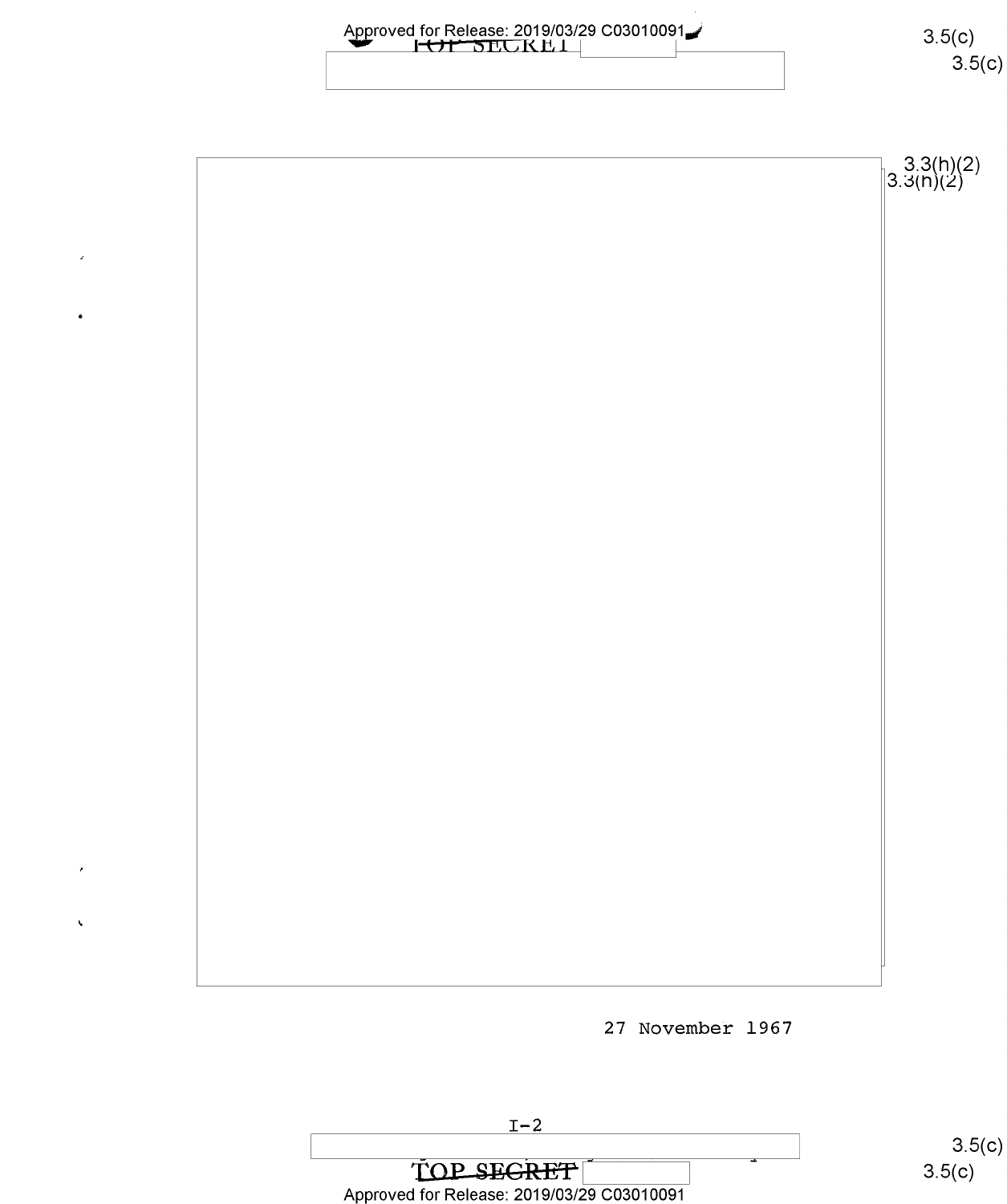| Approved for Release: 2019/03/29 C03010091 | 3.5(c)<br>3.5(c)           |
|--------------------------------------------|----------------------------|
|                                            |                            |
|                                            | $3.3(h)(2)$<br>$3.3(h)(2)$ |
|                                            |                            |
|                                            |                            |
|                                            |                            |
|                                            |                            |
|                                            |                            |
|                                            |                            |
|                                            |                            |
|                                            |                            |
|                                            |                            |
|                                            |                            |
|                                            |                            |

27 November 1967



 $\ddot{\phantom{0}}$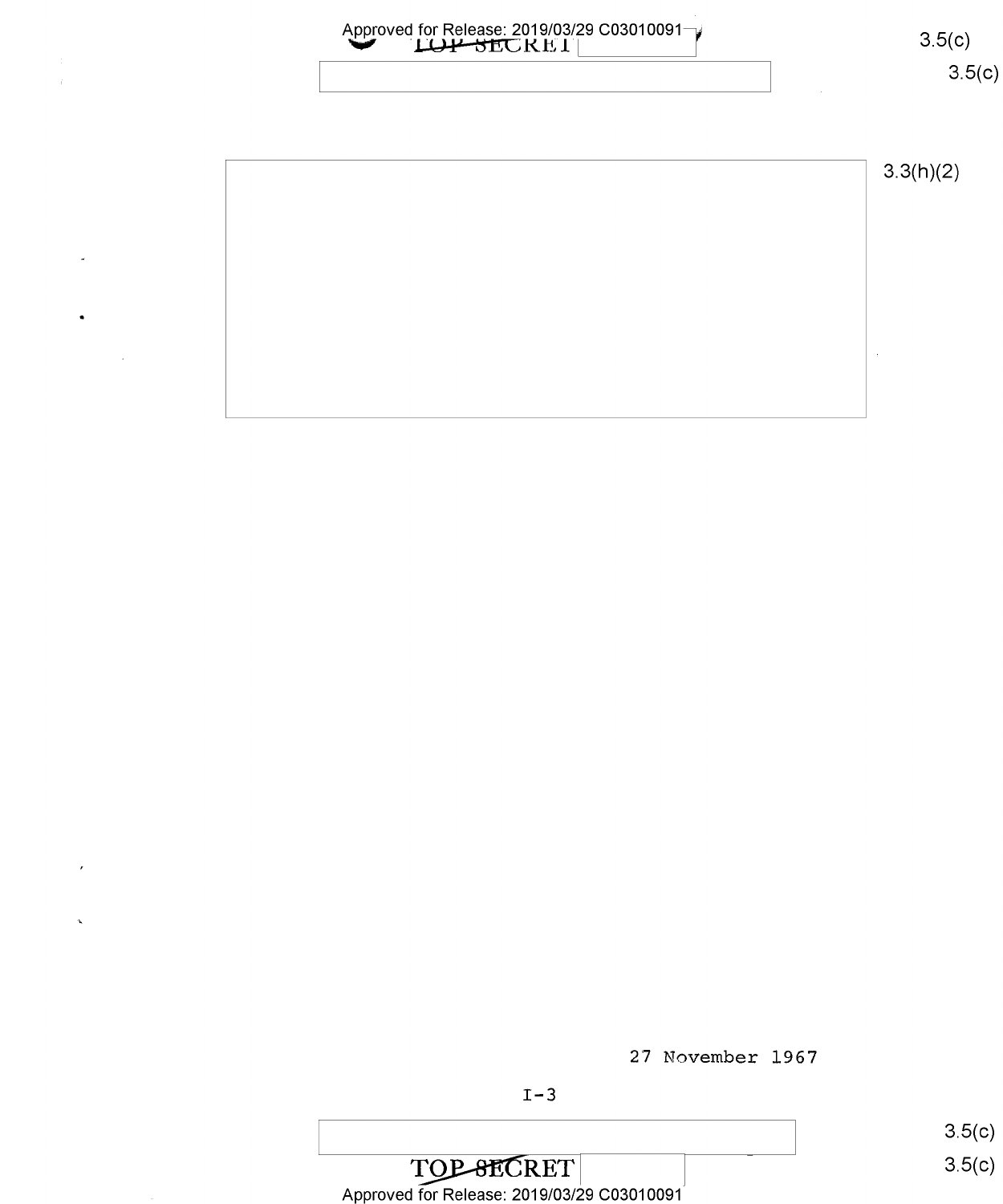

27 November 1967

 $3.5(c)$ TOP-8ECRET<br>Approved for Release: 2019/03/29 C03010091  $3.5(c)$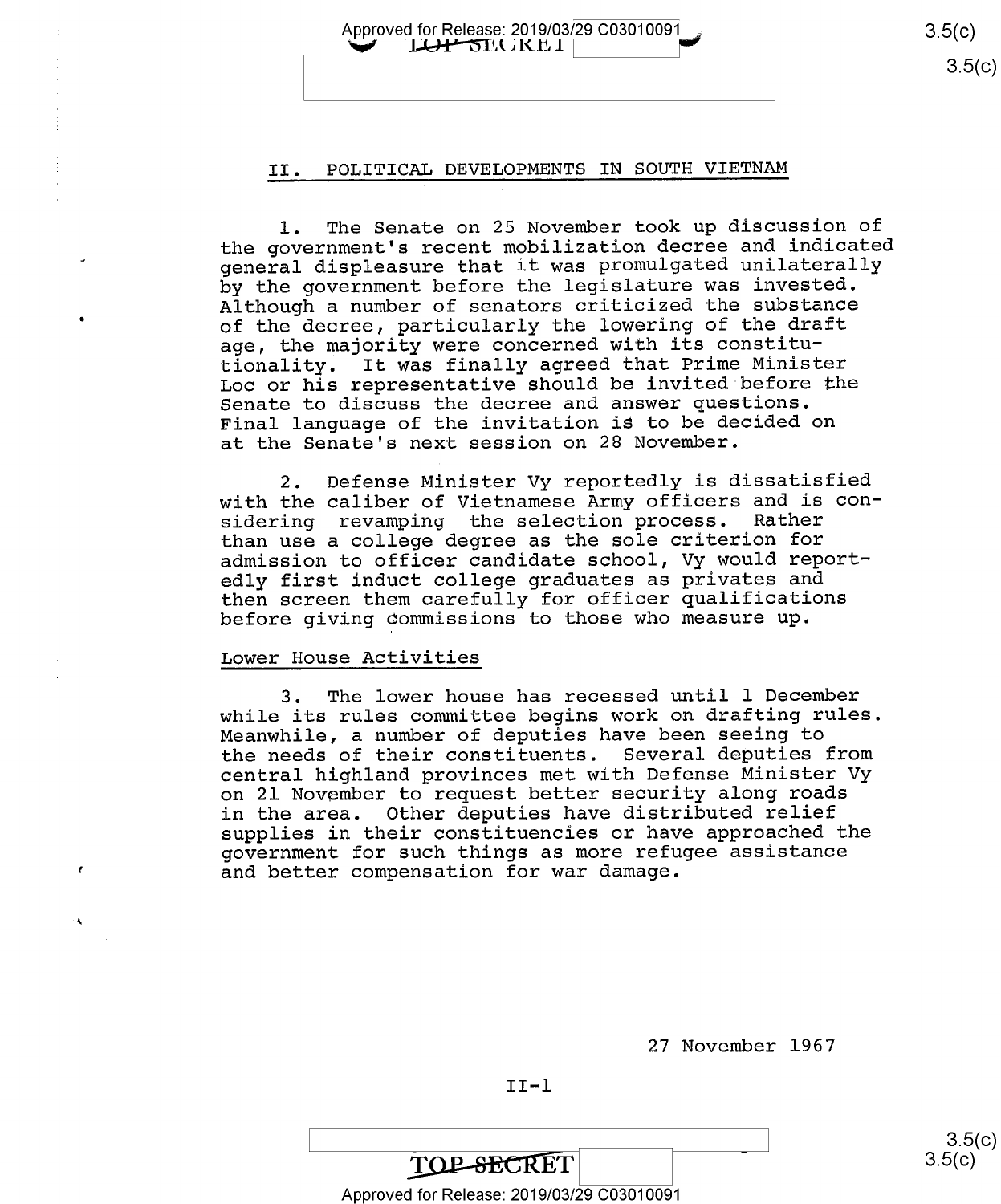Approved for Release: 2019/03/29 C03010091 3.5(C) 3.5(C)  $3.5(c)$ 

 $3.5(c)$ 

#### II. POLITICAL DEVELOPMENTS IN SOUTH VIETNAM

l. The Senate on 25 November took up discussion of the government's recent mobilization decree and indicated general displeasure that it was promulgated unilaterally by the government before the legislature was invested. Although a number of senators criticized the substance of the decree, particularly the lowering of the draft age, the majority were concerned with its constitutionality. It was finally agreed that Prime Minister Loc or his representative should be invited before the Senate to discuss the decree and answer questions." Final language of the invitation is to be decided on at the Senate's next session on 28 November.

2. Defense Minister Vy reportedly is dissatisfied with the caliber of Vietnamese Army officers and is con-<br>sidering revamping the selection process. Rather sidering revamping the selection process. than use a college degree as the sole criterion for admission to officer candidate school, Vy would reportedly first induct college graduates as privates and then screen them carefully for officer qualifications before giving commissions to those who measure up.

#### Lower House Activities

3. The lower house has recessed until l December while its rules committee begins work on drafting rules. Meanwhile, a number of deputies have been seeing to the needs of their constituents. Several deputies from central highland provinces met with Defense Minister Vy on 21 November to request better security along roads in the area. Other deputies have distributed relief supplies in their constituencies or have approached the government for such things as more refugee assistance and better compensation for war damage.

27 November 1967

 $II-1$ 

 $\frac{1}{2}$  s.5(0) **TOP-SECRET**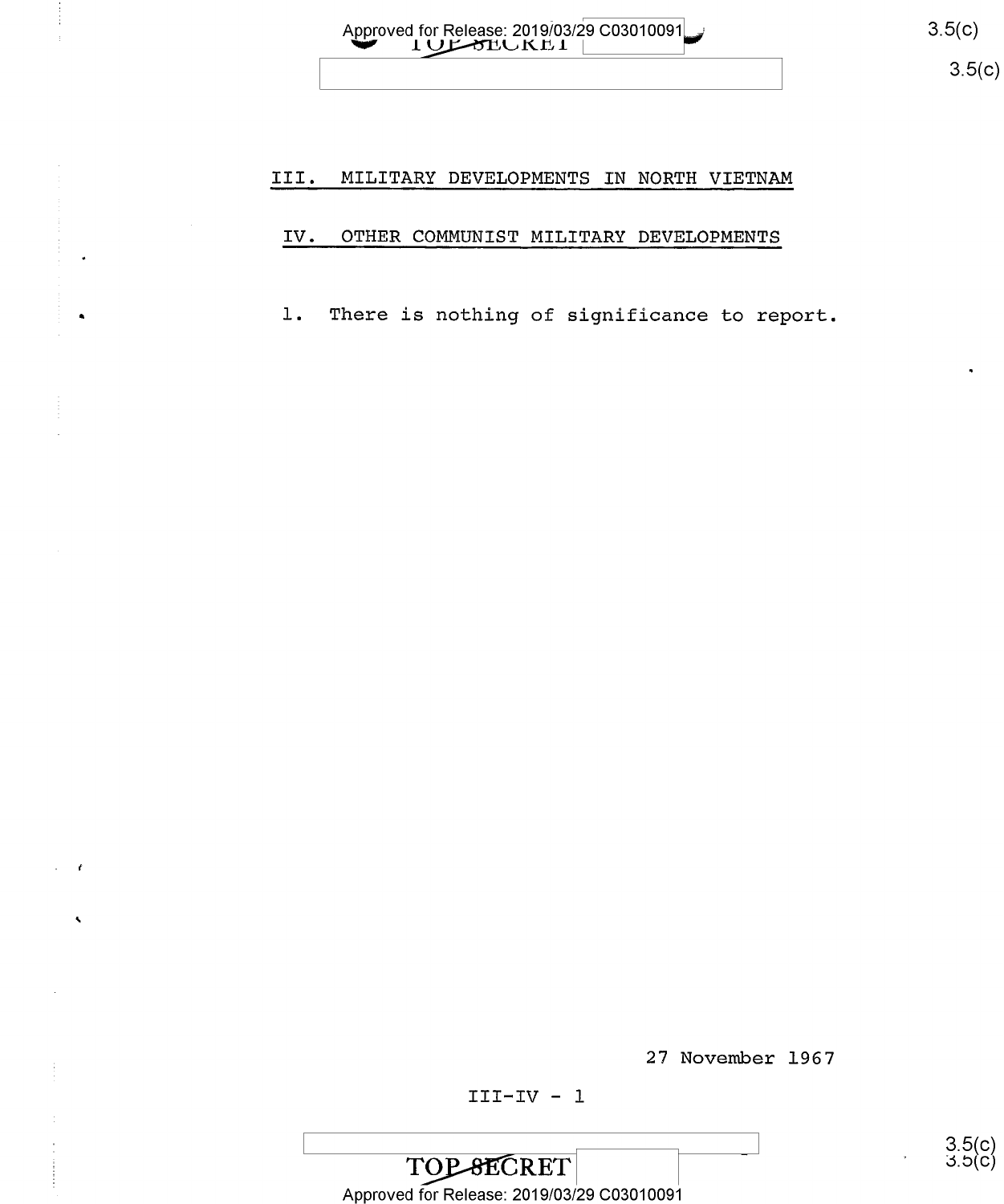Approved for Release: 2019/03/29 C03010091 3.5(C) 3.5(C)

ت. ၁.၁(၄)<br>၁.၁(၄)

#### III. MILITARY DEVELOPMENTS IN NORTE VIETNAM

#### IV. OTHER COMMUNIST MILITARY DEVELOPMENTS

1. There is nothing of significance to report.

27 November 1967

TOP SECRET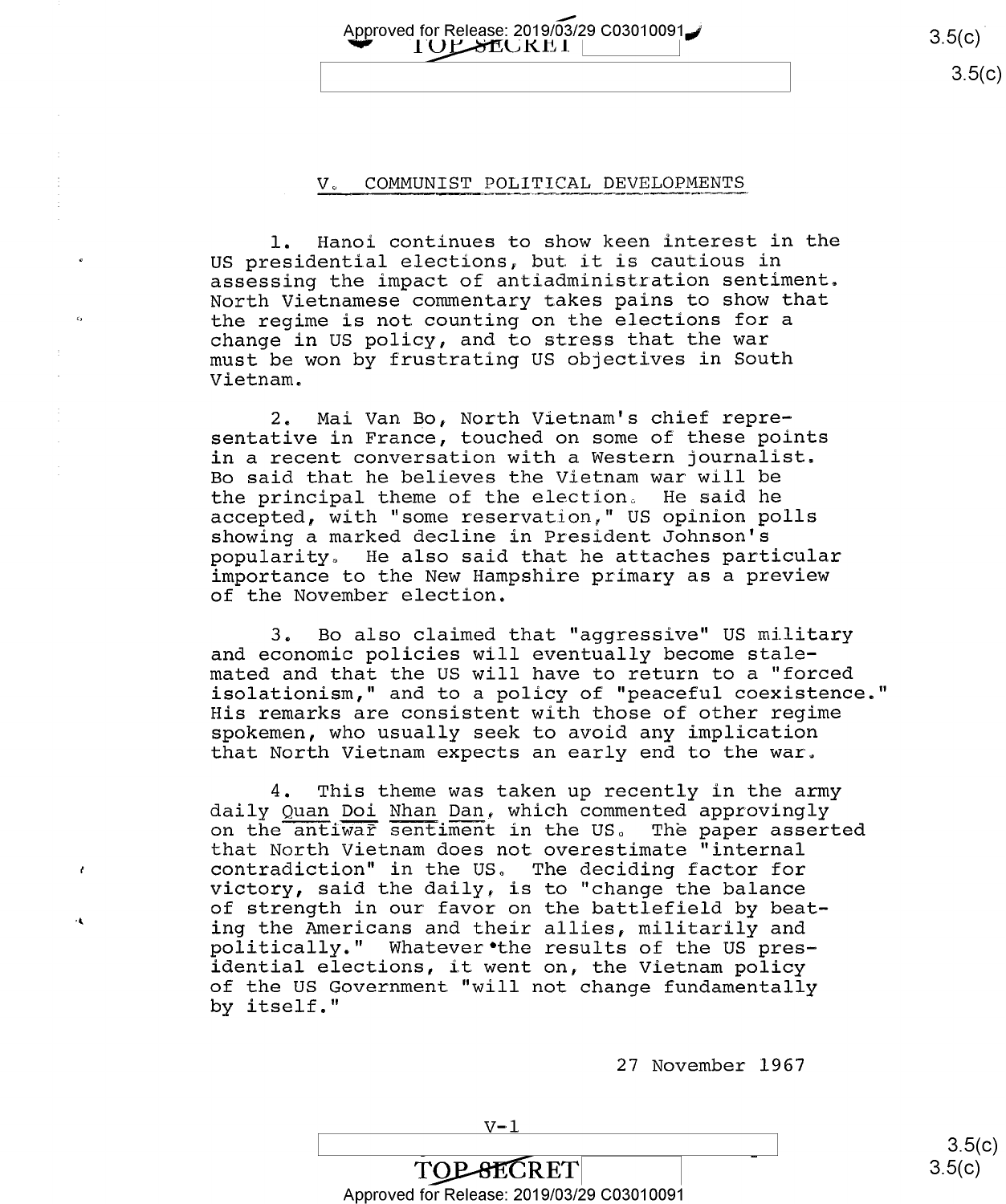Approved for Release: 2019/03/29 C03010091 $\bigcup$  3.5(c) 3.5(c)  $3.5(c)$ 

 $3.5(c)$ 

 $3.5(c)$ 

#### V. COMMUNIST POLITICAL DEVELOPMENTS

l. Hanoi continues to show keen interest in the US presidential elections, but it is cautious in assessing the impact of antiadministration sentiment. North Vietnamese commentary takes pains to show that the regime is not counting on the elections for a change in US policy, and to stress that the war must be won by frustrating US objectives in South Vietnam.

2. Mai Van Bo, North Vietnam's chief repre sentative in France, touched on some of these points in a recent conversation with a Western journalist. Bo said that he believes the Vietnam war will be the principal theme of the election, He said he accepted, with "some reservation," US opinion polls showing a marked decline in President Johnson's popularity, He also said that he attaches particular importance to the New Hampshire primary as a preview of the November election.

3. Bo also claimed that "aggressive" US military and economic policies will eventually become stalemated and that the US will have to return to a "forced isolationism," and to a policy of "peaceful coexistence." His remarks are consistent with those of other regime spokemen, who usually seek to avoid any implication that North Vietnam expects an early end to the war,

4. This theme was taken up recently in the army daily Quan Doi Nhan Dan, which commented approvingly on the antiwar sentiment in the US. The paper asserted that North Vietnam does not overestimate "internal contradiction" in the US, The deciding factor for victory, said the daily, is to "change the balance of strength in our favor on the battlefield by beat-<br>ing the Americans and their allies, militarily and politically." Whatever the results of the US pres-<br>idential elections, it went on, the Vietnam policy of the US Government "will not change fundamentally by itself."

 $\mathbf{A}$ 

27 November 1967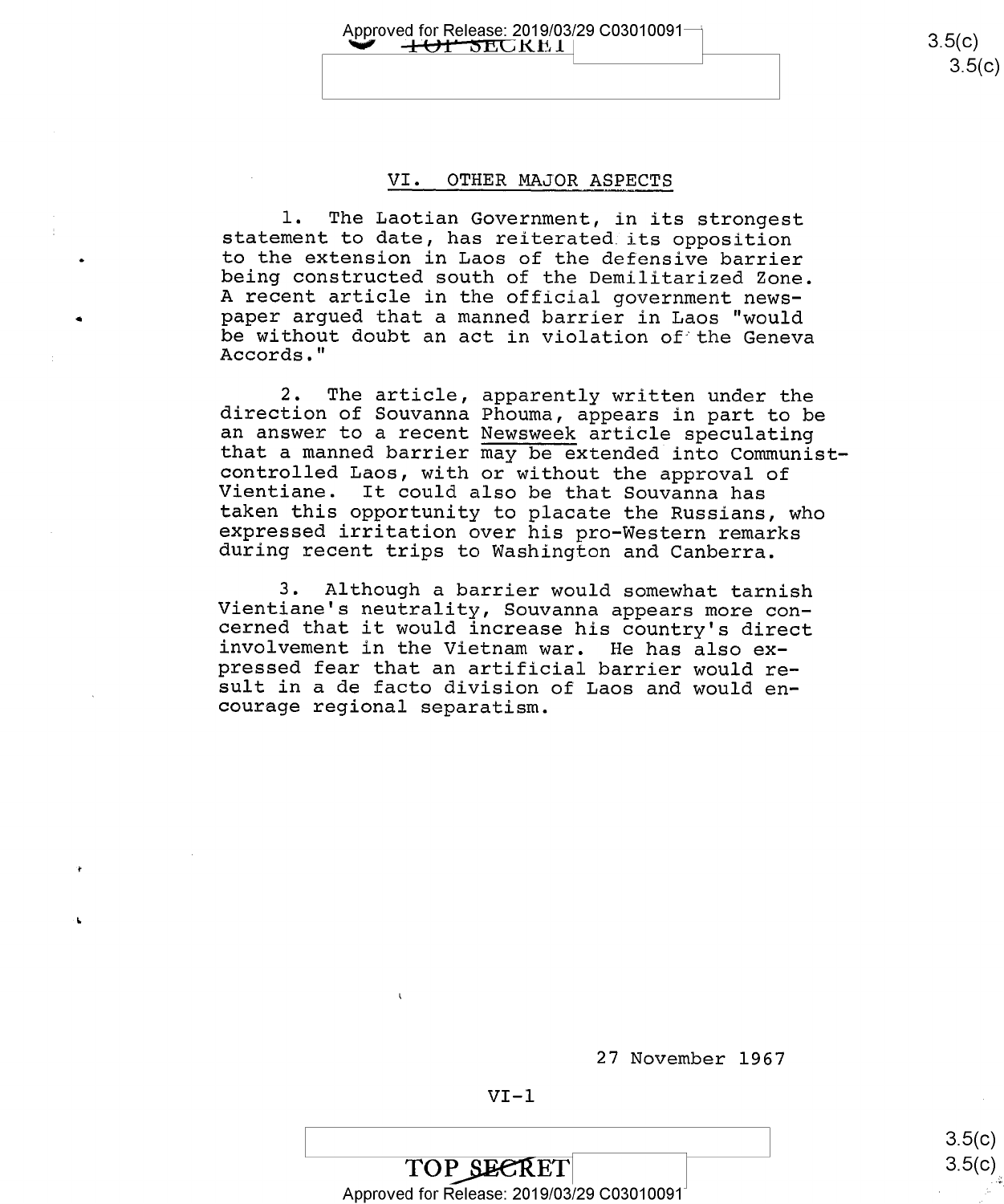Approved for Release: 2019/03/29 C03010091- $+$ O1<sup>+</sup> SECKE1

#### VI. OTHER MAJOR ASPECTS

1. The Laotian Government, in its strongest<br>statement to date, has reiterated its opposition<br>to the extension in Laos of the defensive barrier<br>being constructed south of the Demilitarized Zone.<br>A recent article in the offi be without doubt an act in violation of the Geneva<br>Accords."

2. The article, apparently written under the direction of Souvanna Phouma, appears in part to be 2. The article, apparently written under the<br>direction of Souvanna Phouma, appears in part to be<br>an answer to a recent <u>Newsweek</u> article speculating that a manned barrier may be extended into Communistcontrolled Laos, with or without the approval of<br>Vientiane. It could also be that Souvanna has<br>taken this opportunity to placate the Russians, who<br>expressed irritation over his pro-Western remarks<br>during recent trips to Wa

3. Although a barrier would somewhat tarnish<br>Vientiane's neutrality, Souvanna appears more con-<br>cerned that it would increase his country's direct<br>involvement in the Vietnam war. He has also ex-<br>pressed fear that an artifi

27 November 1967

#### $VI-1$

 $3.5(c)$  $3.5(c)$ 

TOP SEERET Approved for Release: 2019/03/29 C03010091 "